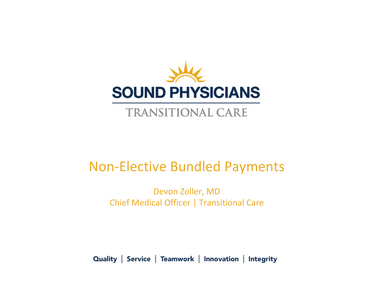

## **TRANSITIONAL CARE**

## Non‐Elective Bundled Payments

Devon Zoller, MD Chief Medical Officer | Transitional Care

Quality | Service | Teamwork | Innovation | Integrity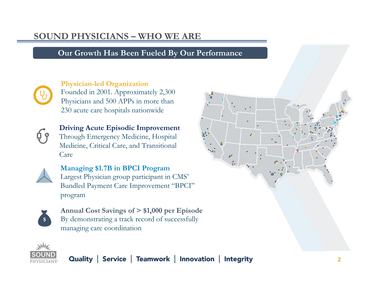## **SOUND PHYSICIANS – WHO WE ARE**

### **Our Growth Has Been Fueled By Our Performance**



#### **Physician-led Organization**

Founded in 2001. Approximately 2,300 Physicians and 500 APPs in more than 230 acute care hospitals nationwide



**Driving Acute Episodic Improvement** Through Emergency Medicine, Hospital Medicine, Critical Care, and Transitional Care



**Managing \$1.7B in BPCI Program** Largest Physician group participant in CMS' Bundled Payment Care Improvement "BPCI" program



**Annual Cost Savings of > \$1,000 per Episode** By demonstrating a track record of successfully managing care coordination

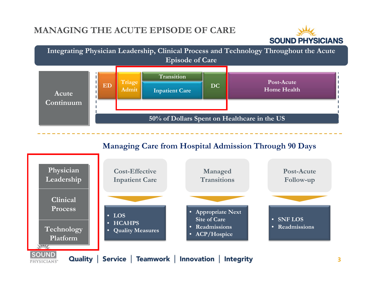## **MANAGING THE ACUTE EPISODE OF CARE**





### **Managing Care from Hospital Admission Through 90 Days**

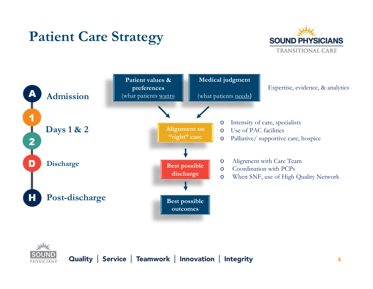## **Patient Care Strategy**





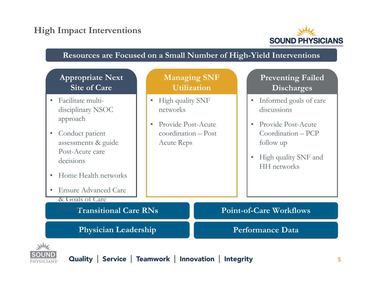## **High Impact Interventions**



#### **Resources are Focused on a Small Number of High-Yield Interventions**

### **Appropriate Next Site of Care**

- Facilitate multidisciplinary NSOC approach
- $\bullet$  Conduct patient assessments & guide Post-Acute care decisions
- •Home Health networks
- $\bullet$ Ensure Advanced Care

& Goals of Care

**Planning Transitional Care RNs** 

**Physician Leadership Physician Leadership Performance Data** 

### **Managing SNF Utilization**

- High quality SNF networks
- • Provide Post-Acute coordination – Post Acute Reps

## **Preventing Failed Discharges**

- • Informed goals of care discussions
- Provide Post-Acute Coordination – PCP follow up
- High quality SNF and HH networks

**Point-of-Care Workflows** 

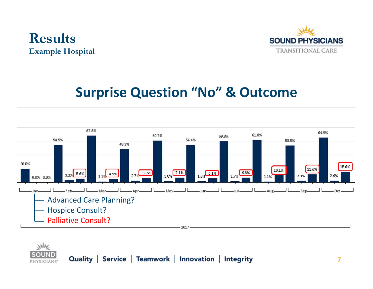



## **Surprise Question "No" & Outcome**



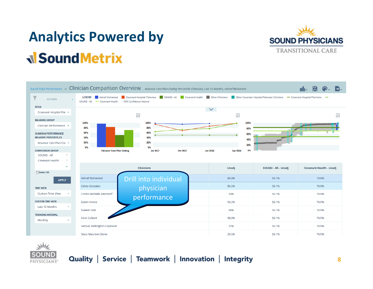# **Analytics Powered by N** Sound Metrix